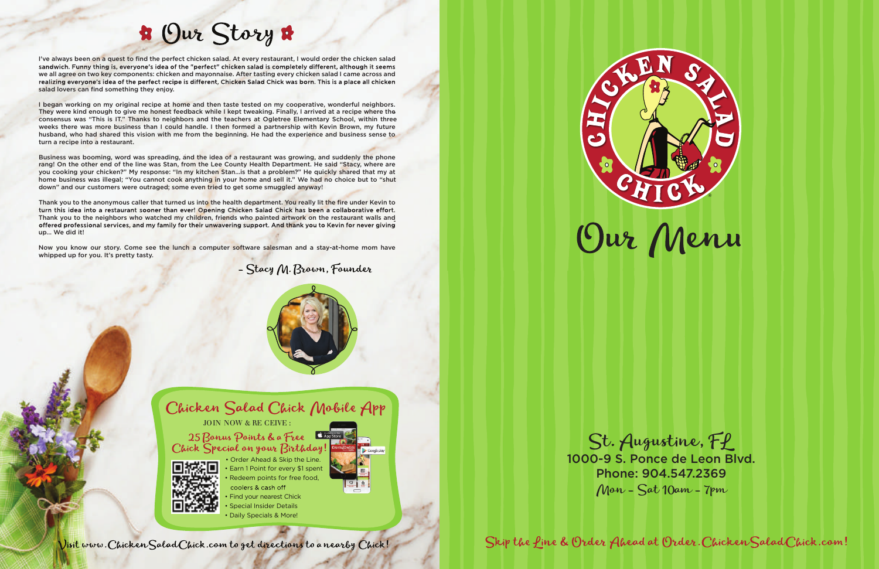

Skip the fine & Order Ahead at Order. Chicken Salad Chick.com!

St. Augustine, Ff 1000-9 S. Ponce de Leon Blvd. Phone: 904.547.2369  $M$ on -  $Sat$  10am - 7pm

coolers & cash off Find your nearest Chick • Special Insider Details • Daily Specials & More!



Visit www. Chicken Salad Chick.com to get directions to a nearby Chick!





# B Our Story &

I've always been on a quest to find the perfect chicken salad. At every restaurant, I would order the chicken salad sandwich. Funny thing is, everyone's idea of the "perfect" chicken salad is completely different, although it seems we all agree on two key components: chicken and mayonnaise. After tasting every chicken salad I came across and realizing everyone's idea of the perfect recipe is different, Chicken Salad Chick was born. This is a place all chicken salad lovers can find something they enjoy.

I began working on my original recipe at home and then taste tested on my cooperative, wonderful neighbors. They were kind enough to give me honest feedback while I kept tweaking. Finally, I arrived at a recipe where the consensus was "This is IT." Thanks to neighbors and the teachers at Ogletree Elementary School, within three weeks there was more business than I could handle. I then formed a partnership with Kevin Brown, my future husband, who had shared this vision with me from the beginning. He had the experience and business sense to turn a recipe into a restaurant.

Thank you to the anonymous caller that turned us into the health department. You really lit the fire under Kevin to turn this idea into a restaurant sooner than ever! Opening Chicken Salad Chick has been a collaborative effort. Thank you to the neighbors who watched my children, friends who painted artwork on the restaurant walls and offered professional services, and my family for their unwavering support. And thank you to Kevin for never giving up… We did it!

Now you know our story. Come see the lunch a computer software salesman and a stay-at-home mom have whipped up for you. It's pretty tasty.



Business was booming, word was spreading, and the idea of a restaurant was growing, and suddenly the phone rang! On the other end of the line was Stan, from the Lee County Health Department. He said "Stacy, where are you cooking your chicken?" My response: "In my kitchen Stan…is that a problem?" He quickly shared that my at home business was illegal; "You cannot cook anything in your home and sell it." We had no choice but to "shut down" and our customers were outraged; some even tried to get some smuggled anyway!